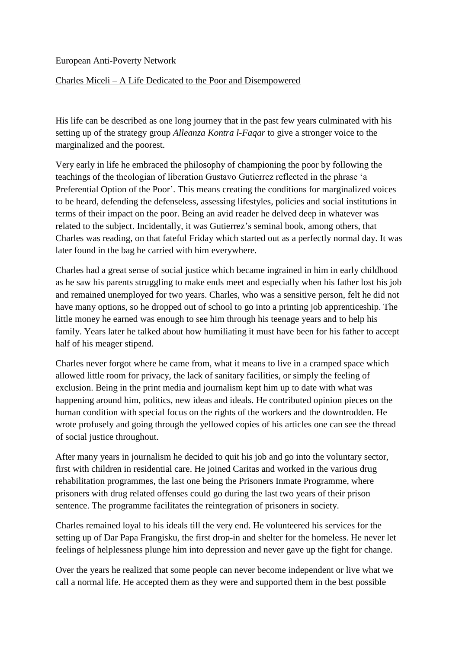European Anti-Poverty Network

## Charles Miceli – A Life Dedicated to the Poor and Disempowered

His life can be described as one long journey that in the past few years culminated with his setting up of the strategy group *Alleanza Kontra l-Faqar* to give a stronger voice to the marginalized and the poorest.

Very early in life he embraced the philosophy of championing the poor by following the teachings of the theologian of liberation Gustavo Gutierrez reflected in the phrase 'a Preferential Option of the Poor'. This means creating the conditions for marginalized voices to be heard, defending the defenseless, assessing lifestyles, policies and social institutions in terms of their impact on the poor. Being an avid reader he delved deep in whatever was related to the subject. Incidentally, it was Gutierrez's seminal book, among others, that Charles was reading, on that fateful Friday which started out as a perfectly normal day. It was later found in the bag he carried with him everywhere.

Charles had a great sense of social justice which became ingrained in him in early childhood as he saw his parents struggling to make ends meet and especially when his father lost his job and remained unemployed for two years. Charles, who was a sensitive person, felt he did not have many options, so he dropped out of school to go into a printing job apprenticeship. The little money he earned was enough to see him through his teenage years and to help his family. Years later he talked about how humiliating it must have been for his father to accept half of his meager stipend.

Charles never forgot where he came from, what it means to live in a cramped space which allowed little room for privacy, the lack of sanitary facilities, or simply the feeling of exclusion. Being in the print media and journalism kept him up to date with what was happening around him, politics, new ideas and ideals. He contributed opinion pieces on the human condition with special focus on the rights of the workers and the downtrodden. He wrote profusely and going through the yellowed copies of his articles one can see the thread of social justice throughout.

After many years in journalism he decided to quit his job and go into the voluntary sector, first with children in residential care. He joined Caritas and worked in the various drug rehabilitation programmes, the last one being the Prisoners Inmate Programme, where prisoners with drug related offenses could go during the last two years of their prison sentence. The programme facilitates the reintegration of prisoners in society.

Charles remained loyal to his ideals till the very end. He volunteered his services for the setting up of Dar Papa Frangisku, the first drop-in and shelter for the homeless. He never let feelings of helplessness plunge him into depression and never gave up the fight for change.

Over the years he realized that some people can never become independent or live what we call a normal life. He accepted them as they were and supported them in the best possible